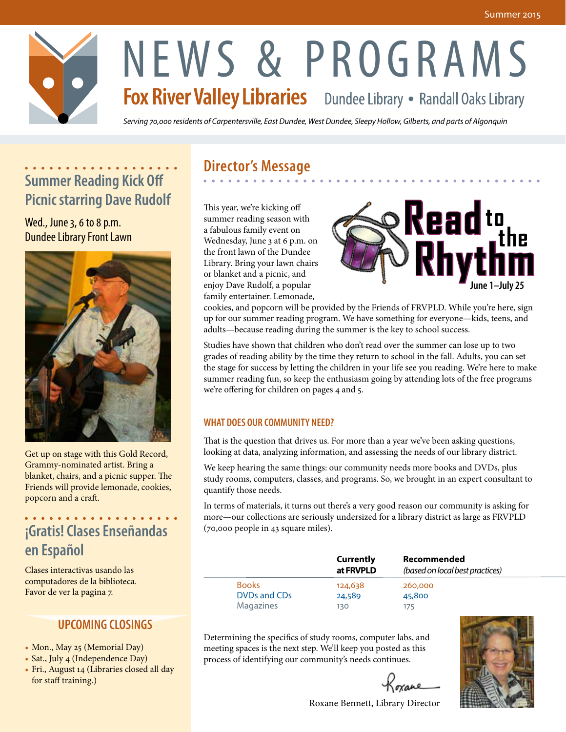

# NEWS & PROGRAMS<br>Fox River Valley Libraries Dundee Library • Randall Oaks Library

*Serving 70,000 residents of Carpentersville, East Dundee, West Dundee, Sleepy Hollow, Gilberts, and parts of Algonquin*

## **Summer Reading Kick Off Picnic starring Dave Rudolf**

Wed., June 3, 6 to 8 p.m. Dundee Library Front Lawn



Get up on stage with this Gold Record, Grammy-nominated artist. Bring a blanket, chairs, and a picnic supper. The Friends will provide lemonade, cookies, popcorn and a craft.

## **¡Gratis! Clases Enseñandas en Español**

Clases interactivas usando las computadores de la biblioteca. Favor de ver la pagina 7.

#### **UPCOMING CLOSINGS**

- Mon., May 25 (Memorial Day)
- Sat., July 4 (Independence Day)
- Fri., August 14 (Libraries closed all day for staff training.)

### **Director's Message**

This year, we're kicking off summer reading season with a fabulous family event on Wednesday, June 3 at 6 p.m. on the front lawn of the Dundee Library. Bring your lawn chairs or blanket and a picnic, and enjoy Dave Rudolf, a popular family entertainer. Lemonade,



cookies, and popcorn will be provided by the Friends of FRVPLD. While you're here, sign up for our summer reading program. We have something for everyone—kids, teens, and adults—because reading during the summer is the key to school success.

Studies have shown that children who don't read over the summer can lose up to two grades of reading ability by the time they return to school in the fall. Adults, you can set the stage for success by letting the children in your life see you reading. We're here to make summer reading fun, so keep the enthusiasm going by attending lots of the free programs we're offering for children on pages 4 and 5.

#### **WHAT DOES OUR COMMUNITY NEED?**

That is the question that drives us. For more than a year we've been asking questions, looking at data, analyzing information, and assessing the needs of our library district.

We keep hearing the same things: our community needs more books and DVDs, plus study rooms, computers, classes, and programs. So, we brought in an expert consultant to quantify those needs.

In terms of materials, it turns out there's a very good reason our community is asking for more—our collections are seriously undersized for a library district as large as FRVPLD (70,000 people in 43 square miles).

|                              | Currently<br>at FRVPLD | Recommended<br>(based on local best practices) |
|------------------------------|------------------------|------------------------------------------------|
| <b>Books</b><br>DVDs and CDs | 124,638<br>24,589      | 260,000<br>45,800                              |
| <b>Magazines</b>             | 130                    | 175                                            |

Determining the specifics of study rooms, computer labs, and meeting spaces is the next step. We'll keep you posted as this process of identifying our community's needs continues.

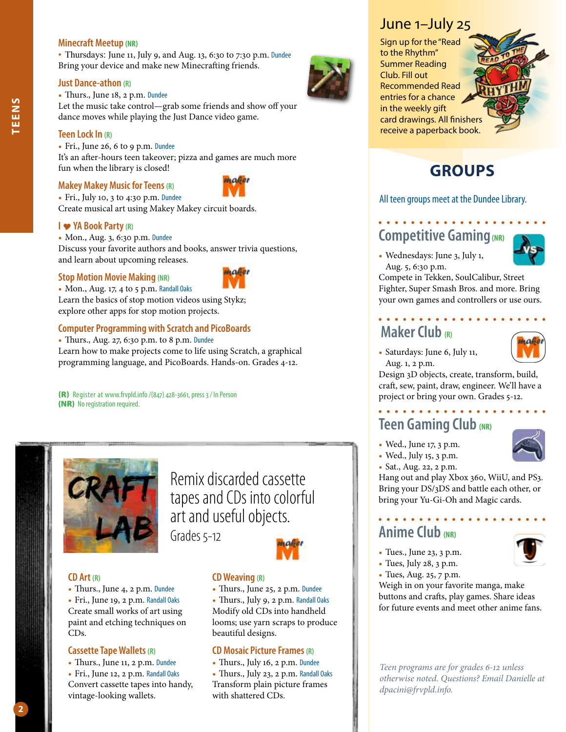#### **Minecraft Meetup (NR)**

• Thursdays: June 11, July 9, and Aug. 13, 6:30 to 7:30 p.m. Dundee Bring your device and make new Minecrafting friends.

#### **Just Dance-athon (R)**

• Thurs., June 18, 2 p.m. Dundee

Let the music take control—grab some friends and show off your dance moves while playing the Just Dance video game.

#### **Teen Lock In (R)**

• Fri., June 26, 6 to 9 p.m. Dundee

It's an after-hours teen takeover; pizza and games are much more fun when the library is closed!

#### **Makey Makey Music for Teens (R)**



• Fri., July 10, 3 to 4:30 p.m. Dundee Create musical art using Makey Makey circuit boards.

#### **I YA Book Party (R)**

• Mon., Aug. 3, 6:30 p.m. Dundee

Discuss your favorite authors and books, answer trivia questions, and learn about upcoming releases.

#### **Stop Motion Movie Making (NR)**



• Mon., Aug. 17, 4 to 5 p.m. Randall Oaks Learn the basics of stop motion videos using Stykz; explore other apps for stop motion projects.

#### **Computer Programming with Scratch and PicoBoards**

• Thurs., Aug. 27, 6:30 p.m. to 8 p.m. Dundee Learn how to make projects come to life using Scratch, a graphical programming language, and PicoBoards. Hands-on. Grades 4-12.

(R) Register at www.frvpld.info /(847) 428-3661, press 3 / In Person (NR) No registration required.



Remix discarded cassette tapes and CDs into colorful art and useful objects. Grades 5-12



#### **CD Art (R)**

• Thurs., June 4, 2 p.m. Dundee • Fri., June 19, 2 p.m. Randall Oaks Create small works of art using paint and etching techniques on CDs.

#### **Cassette Tape Wallets (R)**

• Thurs., June 11, 2 p.m. Dundee • Fri., June 12, 2 p.m. Randall Oaks

Convert cassette tapes into handy, vintage-looking wallets.

#### **CD Weaving (R)**

• Thurs., June 25, 2 p.m. Dundee

• Thurs., July 9, 2 p.m. Randall Oaks Modify old CDs into handheld looms; use yarn scraps to produce beautiful designs.

#### **CD Mosaic Picture Frames (R)**

- Thurs., July 16, 2 p.m. Dundee
- Thurs., July 23, 2 p.m. Randall Oaks Transform plain picture frames with shattered CDs.

#### June 1–July 25

Sign up for the "Read to the Rhythm" Summer Reading Club. Fill out Recommended Read entries for a chance in the weekly gift card drawings. All finishers receive a paperback book.



## **GROUPS**

All teen groups meet at the Dundee Library.

## **Competitive Gaming(NR)**

• Wednesdays: June 3, July 1, Aug. 5, 6:30 p.m.

Compete in Tekken, SoulCalibur, Street Fighter, Super Smash Bros. and more. Bring your own games and controllers or use ours.

## **Maker Club (R)**



• Saturdays: June 6, July 11, Aug. 1, 2 p.m.

Design 3D objects, create, transform, build, craft, sew, paint, draw, engineer. We'll have a project or bring your own. Grades 5-12.

## **Teen Gaming Club (NR)**

• Wed., June 17, 3 p.m.



- 
- Wed., July 15, 3 p.m. • Sat., Aug. 22, 2 p.m.

Hang out and play Xbox 360, WiiU, and PS3.

Bring your DS/3DS and battle each other, or bring your Yu-Gi-Oh and Magic cards.

#### . . . . . . . . . . . **Anime Club (NR)**

- Tues., June 23, 3 p.m.
- Tues, July 28, 3 p.m.
- Tues, Aug. 25, 7 p.m.

Weigh in on your favorite manga, make buttons and crafts, play games. Share ideas for future events and meet other anime fans.

*Teen programs are for grades 6-12 unless otherwise noted. Questions? Email Danielle at dpacini@frvpld.info.* 

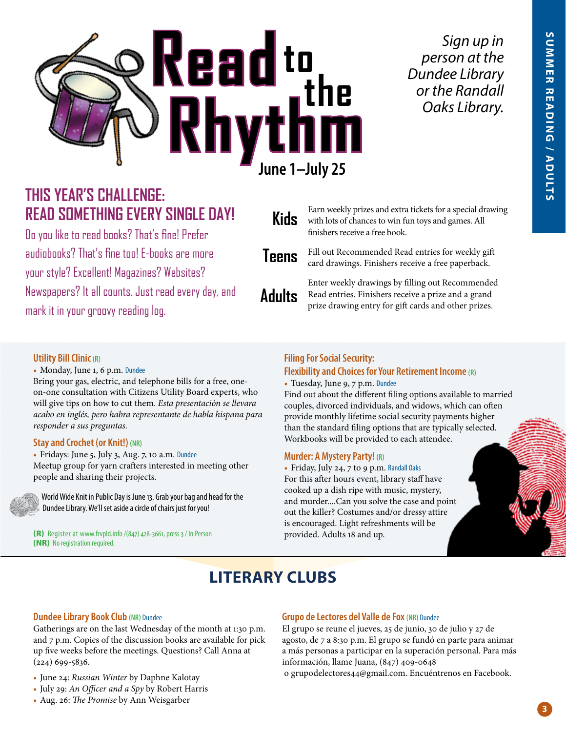

*Sign up in person at the Dundee Library or the Randall Oaks Library.*

## **THIS YEAR'S CHALLENGE: READ SOMETHING EVERY SINGLE DAY!**

Do you like to read books? That's fine! Prefer audiobooks? That's fine too! E-books are more your style? Excellent! Magazines? Websites? Newspapers? It all counts. Just read every day, and mark it in your groovy reading log.

**Kids**

**Adults**

Earn weekly prizes and extra tickets for a special drawing with lots of chances to win fun toys and games. All finishers receive a free book.

Fill out Recommended Read entries for weekly gift card drawings. Finishers receive a free paperback. **Teens**

> Enter weekly drawings by filling out Recommended Read entries. Finishers receive a prize and a grand prize drawing entry for gift cards and other prizes.

#### **Utility Bill Clinic (R)**

• Monday, June 1, 6 p.m. Dundee

Bring your gas, electric, and telephone bills for a free, oneon-one consultation with Citizens Utility Board experts, who will give tips on how to cut them. *Esta presentación se llevara acabo en inglés, pero habra representante de habla hispana para responder a sus preguntas.*

#### **Stay and Crochet (or Knit!) (NR)**

• Fridays: June 5, July 3, Aug. 7, 10 a.m. Dundee Meetup group for yarn crafters interested in meeting other people and sharing their projects.



World Wide Knit in Public Day is June 13. Grab your bag and head for the Dundee Library. We'll set aside a circle of chairs just for you!

(R) Register at www.frvpld.info /(847) 428-3661, press 3 / In Person provided. Adults 18 and up. (NR) No registration required.

#### **Filing For Social Security:**

#### **Flexibility and Choices for Your Retirement Income (R)**

• Tuesday, June 9, 7 p.m. Dundee

Find out about the different filing options available to married couples, divorced individuals, and widows, which can often provide monthly lifetime social security payments higher than the standard filing options that are typically selected. Workbooks will be provided to each attendee.

#### **Murder: A Mystery Party! (R)**

• Friday, July 24, 7 to 9 p.m. Randall Oaks For this after hours event, library staff have cooked up a dish ripe with music, mystery, and murder....Can you solve the case and point out the killer? Costumes and/or dressy attire is encouraged. Light refreshments will be

## **LITERARY CLUBS**

#### **Dundee Library Book Club (NR)** Dundee

Gatherings are on the last Wednesday of the month at 1:30 p.m. and 7 p.m. Copies of the discussion books are available for pick up five weeks before the meetings. Questions? Call Anna at (224) 699-5836.

- June 24: *Russian Winter* by Daphne Kalotay
- July 29: *An Officer and a Spy* by Robert Harris
- Aug. 26: *The Promise* by Ann Weisgarber

#### **Grupo de Lectores del Valle de Fox (NR)** Dundee

El grupo se reune el jueves, 25 de junio, 30 de julio y 27 de agosto, de 7 a 8:30 p.m. El grupo se fundó en parte para animar a más personas a participar en la superación personal. Para más información, llame Juana, (847) 409-0648

o grupodelectores44@gmail.com. Encuéntrenos en Facebook.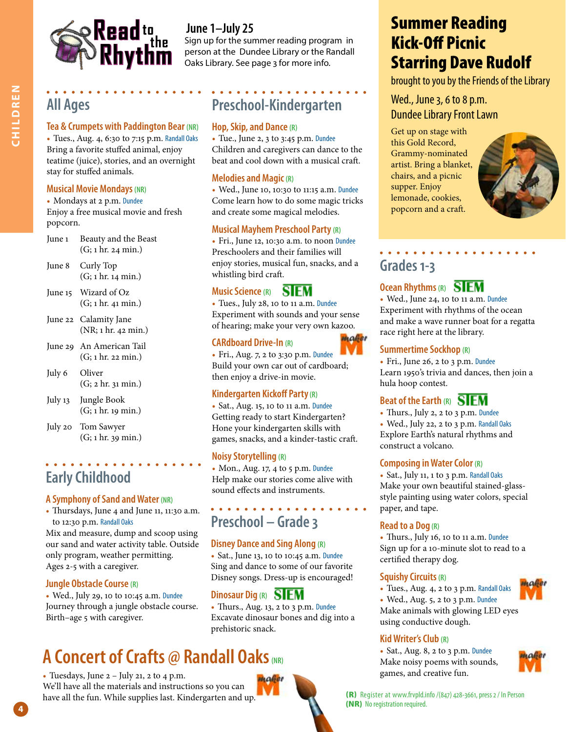

## **All Ages**

#### **Tea & Crumpets with Paddington Bear (NR)**

• Tues., Aug. 4, 6:30 to 7:15 p.m. Randall Oaks Bring a favorite stuffed animal, enjoy teatime (juice), stories, and an overnight stay for stuffed animals.

#### **Musical Movie Mondays (NR)**

• Mondays at 2 p.m. Dundee Enjoy a free musical movie and fresh popcorn.

- June 1 Beauty and the Beast (G; 1 hr. 24 min.)
- June 8 Curly Top (G; 1 hr. 14 min.)
- June 15 Wizard of Oz (G; 1 hr. 41 min.)
- June 22 Calamity Jane (NR; 1 hr. 42 min.)
- June 29 An American Tail (G; 1 hr. 22 min.)
- July 6 Oliver (G; 2 hr. 31 min.)
- July 13 Jungle Book (G; 1 hr. 19 min.)
- July 20 Tom Sawyer (G; 1 hr. 39 min.)

## **Early Childhood**

#### **A Symphony of Sand and Water (NR)**

• Thursdays, June 4 and June 11, 11:30 a.m. to 12:30 p.m. Randall Oaks

Mix and measure, dump and scoop using our sand and water activity table. Outside only program, weather permitting. Ages 2-5 with a caregiver.

#### **Jungle Obstacle Course (R)**

**4**

• Wed., July 29, 10 to 10:45 a.m. Dundee Journey through a jungle obstacle course. Birth–age 5 with caregiver.

## **A Concert of Crafts @ Randall Oaks** (NR)

• Tuesdays, June  $2 -$  July 21, 2 to 4 p.m. We'll have all the materials and instructions so you can have all the fun. While supplies last. Kindergarten and up.

**to June 1–July 25**<br> **The** Sign up for the summer reading program in person at the Dundee Library or the Randall Oaks Library. See page 3 for more info.

## **Preschool-Kindergarten**

#### **Hop, Skip, and Dance (R)**

• Tue., June 2, 3 to 3:45 p.m. Dundee Children and caregivers can dance to the beat and cool down with a musical craft.

#### **Melodies and Magic (R)**

• Wed., June 10, 10:30 to 11:15 a.m. Dundee Come learn how to do some magic tricks and create some magical melodies.

#### **Musical Mayhem Preschool Party (R)**

• Fri., June 12, 10:30 a.m. to noon Dundee Preschoolers and their families will enjoy stories, musical fun, snacks, and a whistling bird craft.

#### **SIEM Music Science (R)**

• Tues., July 28, 10 to 11 a.m. Dundee Experiment with sounds and your sense of hearing; make your very own kazoo.

#### **CARdboard Drive-In (R)**

• Fri., Aug. 7, 2 to 3:30 p.m. Dundee Build your own car out of cardboard; then enjoy a drive-in movie.

#### **Kindergarten Kickoff Party (R)**

• Sat., Aug. 15, 10 to 11 a.m. Dundee Getting ready to start Kindergarten? Hone your kindergarten skills with games, snacks, and a kinder-tastic craft.

#### **Noisy Storytelling (R)**

• Mon., Aug. 17, 4 to 5 p.m. Dundee Help make our stories come alive with sound effects and instruments.

## **Preschool – Grade 3**

#### **Disney Dance and Sing Along (R)**

• Sat., June 13, 10 to 10:45 a.m. Dundee Sing and dance to some of our favorite Disney songs. Dress-up is encouraged!

#### **Dinosaur Dig (R)**

• Thurs., Aug. 13, 2 to 3 p.m. Dundee Excavate dinosaur bones and dig into a prehistoric snack.

# popcorn and a craft.

Summer Reading

Starring Dave Rudolf

brought to you by the Friends of the Library

Kick-Off Picnic

Wed., June 3, 6 to 8 p.m. Dundee Library Front Lawn

Get up on stage with this Gold Record, Grammy-nominated artist. Bring a blanket, chairs, and a picnic supper. Enjoy lemonade, cookies,

## **Grades 1-3**

#### **Ocean Rhythms (R)**

• Wed., June 24, 10 to 11 a.m. Dundee Experiment with rhythms of the ocean and make a wave runner boat for a regatta race right here at the library.

#### **Summertime Sockhop (R)**

• Fri., June 26, 2 to 3 p.m. Dundee Learn 1950's trivia and dances, then join a hula hoop contest.

#### **Beat of the Earth (R)**

• Thurs., July 2, 2 to 3 p.m. Dundee

• Wed., July 22, 2 to 3 p.m. Randall Oaks Explore Earth's natural rhythms and construct a volcano.

#### **Composing in Water Color (R)**

• Sat., July 11, 1 to 3 p.m. Randall Oaks Make your own beautiful stained-glassstyle painting using water colors, special paper, and tape.

#### **Read to a Dog (R)**

• Thurs., July 16, 10 to 11 a.m. Dundee Sign up for a 10-minute slot to read to a certified therapy dog.

#### **Squishy Circuits (R)**

• Tues., Aug. 4, 2 to 3 p.m. Randall Oaks

• Wed., Aug. 5, 2 to 3 p.m. Dundee Make animals with glowing LED eyes using conductive dough.

#### **Kid Writer's Club (R)**

• Sat., Aug. 8, 2 to 3 p.m. Dundee Make noisy poems with sounds, games, and creative fun.



(R) Register at www.frvpld.info /(847) 428-3661, press 2 / In Person (NR) No registration required.







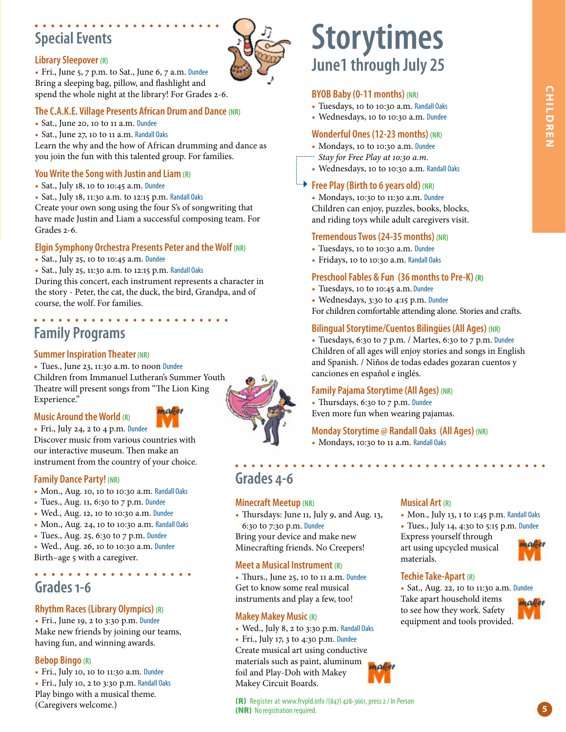# CHILDREN **CHILDREN**

## **Special Events**

#### **Library Sleepover (R)**

• Fri., June 5, 7 p.m. to Sat., June 6, 7 a.m. Dundee Bring a sleeping bag, pillow, and flashlight and spend the whole night at the library! For Grades 2-6.

#### **The C.A.K.E. Village Presents African Drum and Dance (NR)**

- Sat., June 20, 10 to 11 a.m. Dundee
- Sat., June 27, 10 to 11 a.m. Randall Oaks

Learn the why and the how of African drumming and dance as you join the fun with this talented group. For families.

#### **You Write the Song with Justin and Liam (R)**

- Sat., July 18, 10 to 10:45 a.m. Dundee
- Sat., July 18, 11:30 a.m. to 12:15 p.m. Randall Oaks

Create your own song using the four S's of songwriting that have made Justin and Liam a successful composing team. For Grades 2-6.

#### **Elgin Symphony Orchestra Presents Peter and the Wolf (NR)**

- Sat., July 25, 10 to 10:45 a.m. Dundee
- Sat., July 25, 11:30 a.m. to 12:15 p.m. Randall Oaks

During this concert, each instrument represents a character in the story - Peter, the cat, the duck, the bird, Grandpa, and of course, the wolf. For families.

#### . . . . . . . . . . . . . **Family Programs**

#### **Summer Inspiration Theater (NR)**

• Tues., June 23, 11:30 a.m. to noon Dundee Children from Immanuel Lutheran's Summer Youth Theatre will present songs from "The Lion King Experience."

#### **Music Around the World (R)**

• Fri., July 24, 2 to 4 p.m. Dundee Discover music from various countries with our interactive museum. Then make an instrument from the country of your choice.

#### **Family Dance Party! (NR)**

- Mon., Aug. 10, 10 to 10:30 a.m. Randall Oaks
- Tues., Aug. 11, 6:30 to 7 p.m. Dundee
- Wed., Aug. 12, 10 to 10:30 a.m. Dundee
- Mon., Aug. 24, 10 to 10:30 a.m. Randall Oaks
- Tues., Aug. 25, 6:30 to 7 p.m. Dundee
- Wed., Aug. 26, 10 to 10:30 a.m. Dundee
- Birth–age 5 with a caregiver.

. . . . . . . . .

## **Grades 1-6**

#### **Rhythm Races (Library Olympics) (R)**

• Fri., June 19, 2 to 3:30 p.m. Dundee Make new friends by joining our teams, having fun, and winning awards.

#### **Bebop Bingo (R)**

• Fri., July 10, 10 to 11:30 a.m. Dundee • Fri., July 10, 2 to 3:30 p.m. Randall Oaks Play bingo with a musical theme. (Caregivers welcome.)

## **Storytimes June1 through July 25**

#### **BYOB Baby (0-11 months) (NR)**

- Tuesdays, 10 to 10:30 a.m. Randall Oaks
- Wednesdays, 10 to 10:30 a.m. Dundee

#### **Wonderful Ones (12-23 months) (NR)**

- Mondays, 10 to 10:30 a.m. Dundee
- *Stay for Free Play at 10:30 a.m.*
- Wednesdays, 10 to 10:30 a.m. Randall Oaks

#### **Free Play (Birth to 6 years old)** (NR)

• Mondays, 10:30 to 11:30 a.m. Dundee Children can enjoy, puzzles, books, blocks, and riding toys while adult caregivers visit.

#### **Tremendous Twos (24-35 months) (NR)**

- Tuesdays, 10 to 10:30 a.m. Dundee
- Fridays, 10 to 10:30 a.m. Randall Oaks

#### **Preschool Fables & Fun (36 months to Pre-K) (R)**

- Tuesdays, 10 to 10:45 a.m. Dundee
- Wednesdays, 3:30 to 4:15 p.m. Dundee
- For children comfortable attending alone. Stories and crafts.

#### **Bilingual Storytime/Cuentos Bilingües (All Ages) (NR)**

• Tuesdays, 6:30 to 7 p.m. / Martes, 6:30 to 7 p.m. Dundee Children of all ages will enjoy stories and songs in English and Spanish. / Niños de todas edades gozaran cuentos y canciones en español e inglés.

#### **Family Pajama Storytime (All Ages) (NR)**

• Thursdays, 6:30 to 7 p.m. Dundee Even more fun when wearing pajamas.

#### **Monday Storytime @ Randall Oaks (All Ages) (NR)**

• Mondays, 10:30 to 11 a.m. Randall Oaks

**Grades 4-6** 

#### **Minecraft Meetup (NR)**

• Thursdays: June 11, July 9, and Aug. 13, 6:30 to 7:30 p.m. Dundee

Bring your device and make new Minecrafting friends. No Creepers!

#### **Meet a Musical Instrument (R)**

• Thurs., June 25, 10 to 11 a.m. Dundee Get to know some real musical instruments and play a few, too!

#### **Makey Makey Music (R)**

• Wed., July 8, 2 to 3:30 p.m. Randall Oaks

• Fri., July 17, 3 to 4:30 p.m. Dundee Create musical art using conductive materials such as paint, aluminum foil and Play-Doh with Makey Makey Circuit Boards.

#### **Musical Art (R)**

- Mon., July 13, 1 to 1:45 p.m. Randall Oaks
- Tues., July 14, 4:30 to 5:15 p.m. Dundee

Express yourself through art using upcycled musical materials.



#### **Techie Take-Apart (R)**

• Sat., Aug. 22, 10 to 11:30 a.m. Dundee

Take apart household items to see how they work. Safety equipment and tools provided.









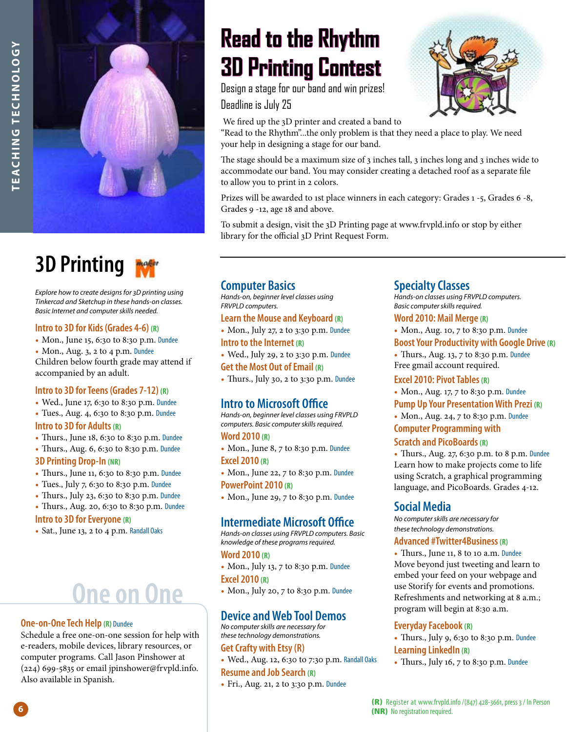

# **3D Printing**

*Explore how to create designs for 3D printing using Tinkercad and Sketchup in these hands-on classes. Basic Internet and computer skills needed.*

#### **Intro to 3D for Kids (Grades 4-6) (R)**

- Mon., June 15, 6:30 to 8:30 p.m. Dundee
- Mon., Aug. 3, 2 to 4 p.m. Dundee

Children below fourth grade may attend if accompanied by an adult.

#### **Intro to 3D for Teens (Grades 7-12) (R)**

- Wed., June 17, 6:30 to 8:30 p.m. Dundee
- Tues., Aug. 4, 6:30 to 8:30 p.m. Dundee

#### **Intro to 3D for Adults (R)**

- Thurs., June 18, 6:30 to 8:30 p.m. Dundee
- Thurs., Aug. 6, 6:30 to 8:30 p.m. Dundee

#### **3D Printing Drop-In (NR)**

- Thurs., June 11, 6:30 to 8:30 p.m. Dundee
- Tues., July 7, 6:30 to 8:30 p.m. Dundee
- Thurs., July 23, 6:30 to 8:30 p.m. Dundee
- Thurs., Aug. 20, 6:30 to 8:30 p.m. Dundee **Intro to 3D for Everyone (R)**
- Sat., June 13, 2 to 4 p.m. Randall Oaks

# **One on One**

#### **One-on-One Tech Help (R)** Dundee

Schedule a free one-on-one session for help with e-readers, mobile devices, library resources, or computer programs. Call Jason Pinshower at (224) 699-5835 or email jpinshower@frvpld.info. Also available in Spanish.

# **Read to the Rhythm 3D Printing Contest**

Design a stage for our band and win prizes! Deadline is July 25

We fired up the 3D printer and created a band to

"Read to the Rhythm"...the only problem is that they need a place to play. We need your help in designing a stage for our band.

The stage should be a maximum size of 3 inches tall, 3 inches long and 3 inches wide to accommodate our band. You may consider creating a detached roof as a separate file to allow you to print in 2 colors.

Prizes will be awarded to 1st place winners in each category: Grades 1 -5, Grades 6 -8, Grades 9 -12, age 18 and above.

To submit a design, visit the 3D Printing page at www.frvpld.info or stop by either library for the official 3D Print Request Form.

#### **Computer Basics**

*Hands-on, beginner level classes using FRVPLD computers.* 

**Learn the Mouse and Keyboard (R)**

- Mon., July 27, 2 to 3:30 p.m. Dundee **Intro to the Internet (R)**
- Wed., July 29, 2 to 3:30 p.m. Dundee

**Get the Most Out of Email (R)**

• Thurs., July 30, 2 to 3:30 p.m. Dundee

#### **Intro to Microsoft Office**

*Hands-on, beginner level classes using FRVPLD computers. Basic computer skills required.*

#### **Word 2010 (R)**

- Mon., June 8, 7 to 8:30 p.m. Dundee **Excel 2010 (R)**
- Mon., June 22, 7 to 8:30 p.m. Dundee **PowerPoint 2010 (R)**
- Mon., June 29, 7 to 8:30 p.m. Dundee

#### **Intermediate Microsoft Office**

*Hands-on classes using FRVPLD computers. Basic knowledge of these programs required.*

#### **Word 2010 (R)**

• Mon., July 13, 7 to 8:30 p.m. Dundee **Excel 2010 (R)**

• Mon., July 20, 7 to 8:30 p.m. Dundee

#### **Device and Web Tool Demos**

*No computer skills are necessary for these technology demonstrations.*

#### **Get Crafty with Etsy (R)**

• Wed., Aug. 12, 6:30 to 7:30 p.m. Randall Oaks

#### **Resume and Job Search (R)**

• Fri., Aug. 21, 2 to 3:30 p.m. Dundee

#### **Specialty Classes**

*Hands-on classes using FRVPLD computers. Basic computer skills required.*

#### **Word 2010: Mail Merge (R)**

• Mon., Aug. 10, 7 to 8:30 p.m. Dundee **Boost Your Productivity with Google Drive (R)**

• Thurs., Aug. 13, 7 to 8:30 p.m. Dundee Free gmail account required.

#### **Excel 2010: Pivot Tables (R)**

• Mon., Aug. 17, 7 to 8:30 p.m. Dundee **Pump Up Your Presentation With Prezi (R)**

• Mon., Aug. 24, 7 to 8:30 p.m. Dundee

#### **Computer Programming with Scratch and PicoBoards (R)**

• Thurs., Aug. 27, 6:30 p.m. to 8 p.m. Dundee Learn how to make projects come to life using Scratch, a graphical programming language, and PicoBoards. Grades 4-12.

#### **Social Media**

*No computer skills are necessary for these technology demonstrations.*

#### **Advanced #Twitter4Business (R)**

• Thurs., June 11, 8 to 10 a.m. Dundee Move beyond just tweeting and learn to embed your feed on your webpage and use Storify for events and promotions. Refreshments and networking at 8 a.m.; program will begin at 8:30 a.m.

#### **Everyday Facebook (R)**

• Thurs., July 9, 6:30 to 8:30 p.m. Dundee **Learning LinkedIn (R)**

• Thurs., July 16, 7 to 8:30 p.m. Dundee

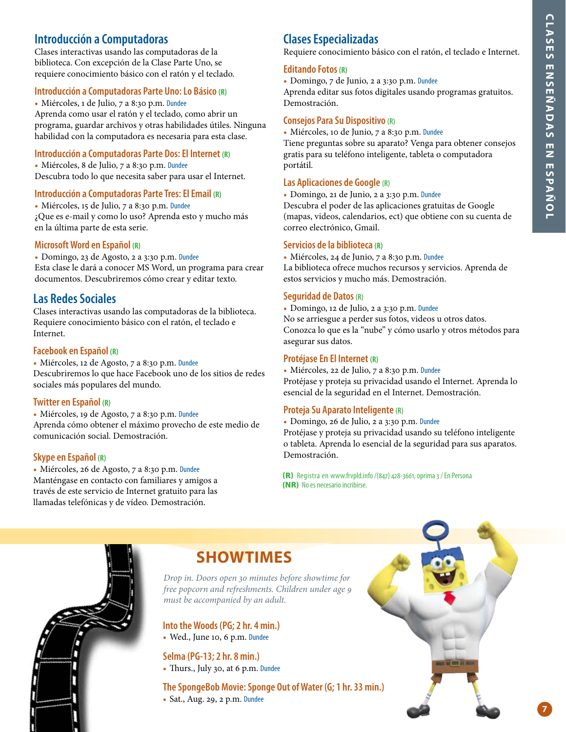**7**

#### **Introducción a Computadoras**

Clases interactivas usando las computadoras de la biblioteca. Con excepción de la Clase Parte Uno, se requiere conocimiento básico con el ratón y el teclado.

#### **Introducción a Computadoras Parte Uno: Lo Básico (R)**

• Miércoles, 1 de Julio, 7 a 8:30 p.m. Dundee Aprenda como usar el ratón y el teclado, como abrir un programa, guardar archivos y otras habilidades útiles. Ninguna habilidad con la computadora es necesaria para esta clase.

#### **Introducción a Computadoras Parte Dos: El Internet (R)**

• Miércoles, 8 de Julio, 7 a 8:30 p.m. Dundee Descubra todo lo que necesita saber para usar el Internet.

#### **Introducción a Computadoras Parte Tres: El Email (R)**

• Miércoles, 15 de Julio, 7 a 8:30 p.m. Dundee ¿Que es e-mail y como lo uso? Aprenda esto y mucho más en la última parte de esta serie.

#### **Microsoft Word en Español (R)**

• Domingo, 23 de Agosto, 2 a 3:30 p.m. Dundee Esta clase le dará a conocer MS Word, un programa para crear documentos. Descubriremos cómo crear y editar texto.

#### **Las Redes Sociales**

Clases interactivas usando las computadoras de la biblioteca. Requiere conocimiento básico con el ratón, el teclado e Internet.

#### **Facebook en Español (R)**

• Miércoles, 12 de Agosto, 7 a 8:30 p.m. Dundee Descubriremos lo que hace Facebook uno de los sitios de redes sociales más populares del mundo.

#### **Twitter en Español (R)**

• Miércoles, 19 de Agosto, 7 a 8:30 p.m. Dundee Aprenda cómo obtener el máximo provecho de este medio de comunicación social. Demostración.

#### **Skype en Español (R)**

• Miércoles, 26 de Agosto, 7 a 8:30 p.m. Dundee Manténgase en contacto con familiares y amigos a través de este servicio de Internet gratuito para las llamadas telefónicas y de vídeo. Demostración.

#### **Clases Especializadas**

Requiere conocimiento básico con el ratón, el teclado e Internet.

#### **Editando Fotos (R)**

• Domingo, 7 de Junio, 2 a 3:30 p.m. Dundee

Aprenda editar sus fotos digitales usando programas gratuitos. Demostración.

#### **Consejos Para Su Dispositivo (R)**

• Miércoles, 10 de Junio, 7 a 8:30 p.m. Dundee Tiene preguntas sobre su aparato? Venga para obtener consejos gratis para su teléfono inteligente, tableta o computadora portátil.

#### **Las Aplicaciones de Google (R)**

• Domingo, 21 de Junio, 2 a 3:30 p.m. Dundee Descubra el poder de las aplicaciones gratuitas de Google

(mapas, videos, calendarios, ect) que obtiene con su cuenta de correo electrónico, Gmail.

#### **Servicios de la biblioteca (R)**

• Miércoles, 24 de Junio, 7 a 8:30 p.m. Dundee La biblioteca ofrece muchos recursos y servicios. Aprenda de estos servicios y mucho más. Demostración.

#### **Seguridad de Datos (R)**

• Domingo, 12 de Julio, 2 a 3:30 p.m. Dundee

No se arriesgue a perder sus fotos, videos u otros datos. Conozca lo que es la "nube" y cómo usarlo y otros métodos para asegurar sus datos.

#### **Protéjase En El Internet (R)**

• Miércoles, 22 de Julio, 7 a 8:30 p.m. Dundee Protéjase y proteja su privacidad usando el Internet. Aprenda lo esencial de la seguridad en el Internet. Demostración.

#### **Proteja Su Aparato Inteligente (R)**

• Domingo, 26 de Julio, 2 a 3:30 p.m. Dundee

Protéjase y proteja su privacidad usando su teléfono inteligente o tableta. Aprenda lo esencial de la seguridad para sus aparatos. Demostración.

(R) Registra en www.frvpld.info /(847) 428-3661, oprima 3 / En Persona (NR) No es necesario incribirse.



## **SHOWTIMES**

*Drop in. Doors open 30 minutes before showtime for free popcorn and refreshments. Children under age 9 must be accompanied by an adult.*

**Into the Woods (PG; 2 hr. 4 min.)** • Wed., June 10, 6 p.m. Dundee

**Selma (PG-13; 2 hr. 8 min.)** • Thurs., July 30, at 6 p.m. Dundee

**The SpongeBob Movie: Sponge Out of Water (G; 1 hr. 33 min.)** • Sat., Aug. 29, 2 p.m. Dundee